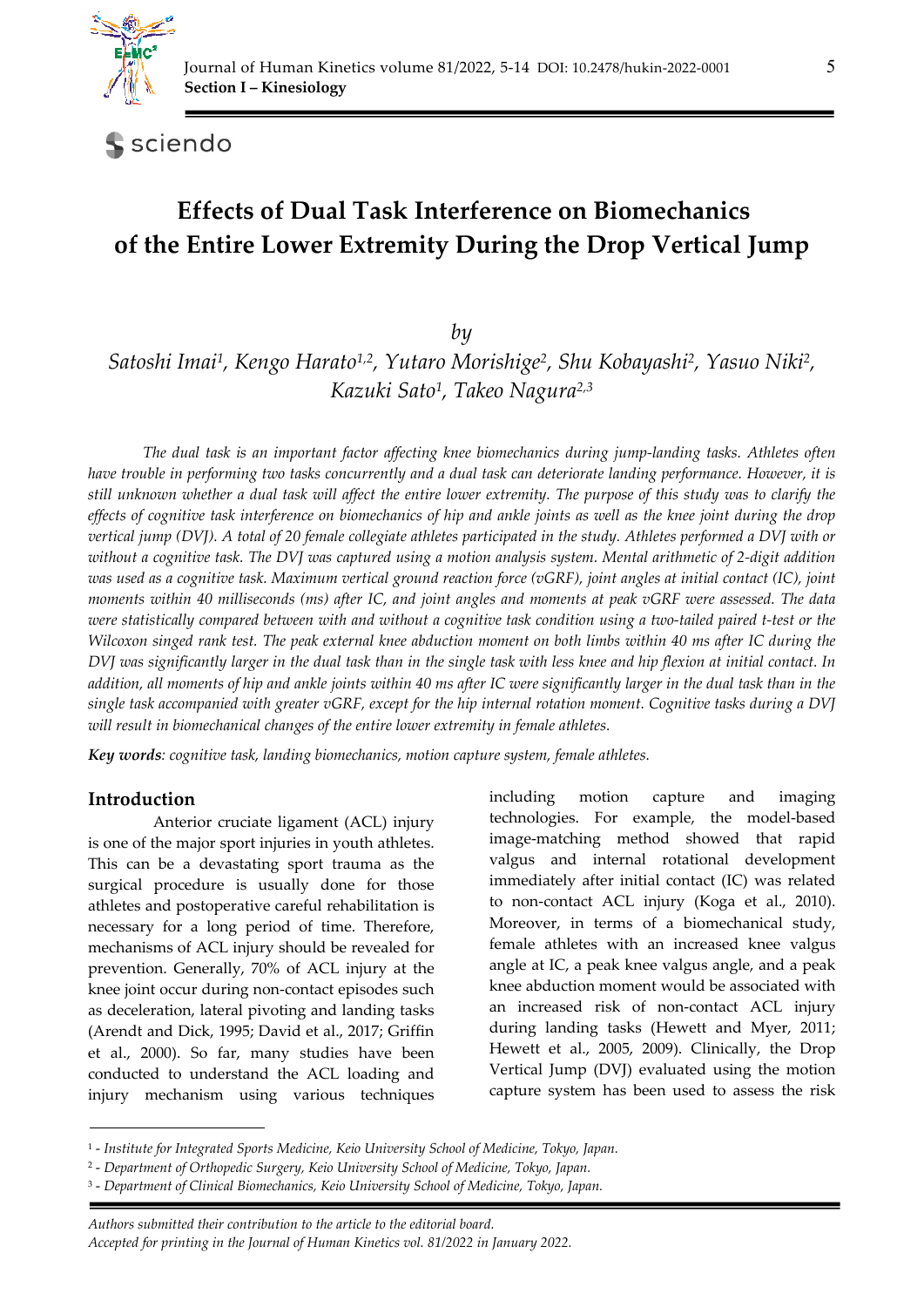

sciendo

# **Effects of Dual Task Interference on Biomechanics of the Entire Lower Extremity During the Drop Vertical Jump**

*by* 

*Satoshi Imai1, Kengo Harato1,2, Yutaro Morishige2, Shu Kobayashi2, Yasuo Niki2, Kazuki Sato1, Takeo Nagura2,3*

*The dual task is an important factor affecting knee biomechanics during jump-landing tasks. Athletes often have trouble in performing two tasks concurrently and a dual task can deteriorate landing performance. However, it is still unknown whether a dual task will affect the entire lower extremity. The purpose of this study was to clarify the effects of cognitive task interference on biomechanics of hip and ankle joints as well as the knee joint during the drop vertical jump (DVJ). A total of 20 female collegiate athletes participated in the study. Athletes performed a DVJ with or without a cognitive task. The DVJ was captured using a motion analysis system. Mental arithmetic of 2-digit addition was used as a cognitive task. Maximum vertical ground reaction force (vGRF), joint angles at initial contact (IC), joint moments within 40 milliseconds (ms) after IC, and joint angles and moments at peak vGRF were assessed. The data were statistically compared between with and without a cognitive task condition using a two-tailed paired t-test or the Wilcoxon singed rank test. The peak external knee abduction moment on both limbs within 40 ms after IC during the DVJ was significantly larger in the dual task than in the single task with less knee and hip flexion at initial contact. In addition, all moments of hip and ankle joints within 40 ms after IC were significantly larger in the dual task than in the single task accompanied with greater vGRF, except for the hip internal rotation moment. Cognitive tasks during a DVJ will result in biomechanical changes of the entire lower extremity in female athletes.* 

*Key words: cognitive task, landing biomechanics, motion capture system, female athletes.* 

# **Introduction**

Anterior cruciate ligament (ACL) injury is one of the major sport injuries in youth athletes. This can be a devastating sport trauma as the surgical procedure is usually done for those athletes and postoperative careful rehabilitation is necessary for a long period of time. Therefore, mechanisms of ACL injury should be revealed for prevention. Generally, 70% of ACL injury at the knee joint occur during non-contact episodes such as deceleration, lateral pivoting and landing tasks (Arendt and Dick, 1995; David et al., 2017; Griffin et al., 2000). So far, many studies have been conducted to understand the ACL loading and injury mechanism using various techniques

including motion capture and imaging technologies. For example, the model-based image-matching method showed that rapid valgus and internal rotational development immediately after initial contact (IC) was related to non-contact ACL injury (Koga et al., 2010). Moreover, in terms of a biomechanical study, female athletes with an increased knee valgus angle at IC, a peak knee valgus angle, and a peak knee abduction moment would be associated with an increased risk of non-contact ACL injury during landing tasks (Hewett and Myer, 2011; Hewett et al., 2005, 2009). Clinically, the Drop Vertical Jump (DVJ) evaluated using the motion capture system has been used to assess the risk

*Authors submitted their contribution to the article to the editorial board.* 

<sup>1 -</sup> *Institute for Integrated Sports Medicine, Keio University School of Medicine, Tokyo, Japan.* 

<sup>2 -</sup> *Department of Orthopedic Surgery, Keio University School of Medicine, Tokyo, Japan.* 

<sup>3 -</sup> *Department of Clinical Biomechanics, Keio University School of Medicine, Tokyo, Japan.* 

*Accepted for printing in the Journal of Human Kinetics vol. 81/2022 in January 2022.*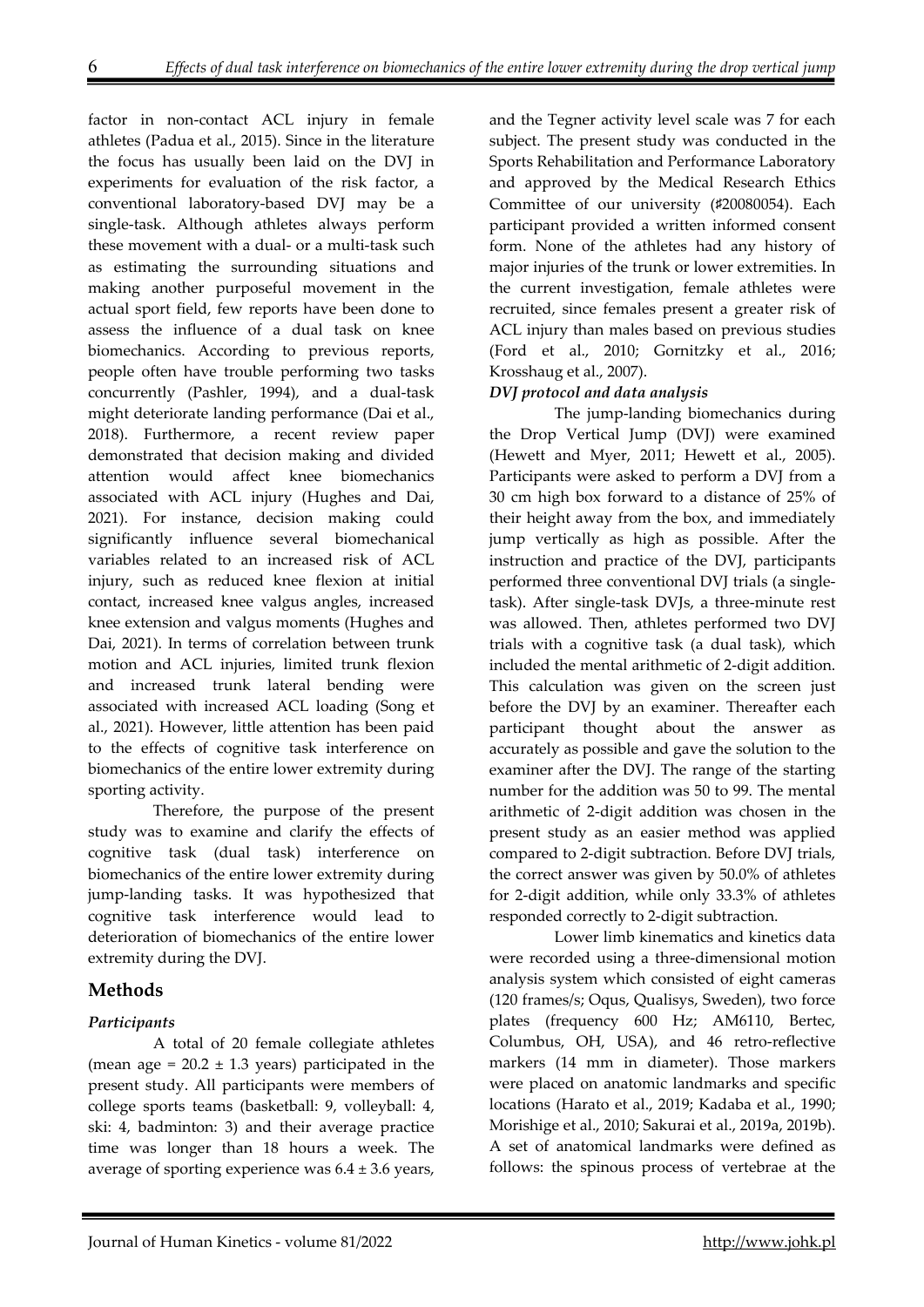factor in non-contact ACL injury in female athletes (Padua et al., 2015). Since in the literature the focus has usually been laid on the DVJ in experiments for evaluation of the risk factor, a conventional laboratory-based DVJ may be a single-task. Although athletes always perform these movement with a dual- or a multi-task such as estimating the surrounding situations and making another purposeful movement in the actual sport field, few reports have been done to assess the influence of a dual task on knee biomechanics. According to previous reports, people often have trouble performing two tasks concurrently (Pashler, 1994), and a dual-task might deteriorate landing performance (Dai et al., 2018). Furthermore, a recent review paper demonstrated that decision making and divided attention would affect knee biomechanics associated with ACL injury (Hughes and Dai, 2021). For instance, decision making could significantly influence several biomechanical variables related to an increased risk of ACL injury, such as reduced knee flexion at initial contact, increased knee valgus angles, increased knee extension and valgus moments (Hughes and Dai, 2021). In terms of correlation between trunk motion and ACL injuries, limited trunk flexion and increased trunk lateral bending were associated with increased ACL loading (Song et al., 2021). However, little attention has been paid to the effects of cognitive task interference on biomechanics of the entire lower extremity during sporting activity.

Therefore, the purpose of the present study was to examine and clarify the effects of cognitive task (dual task) interference on biomechanics of the entire lower extremity during jump-landing tasks. It was hypothesized that cognitive task interference would lead to deterioration of biomechanics of the entire lower extremity during the DVJ.

#### **Methods**

#### *Participants*

A total of 20 female collegiate athletes (mean age =  $20.2 \pm 1.3$  years) participated in the present study. All participants were members of college sports teams (basketball: 9, volleyball: 4, ski: 4, badminton: 3) and their average practice time was longer than 18 hours a week. The average of sporting experience was  $6.4 \pm 3.6$  years,

and the Tegner activity level scale was 7 for each subject. The present study was conducted in the Sports Rehabilitation and Performance Laboratory and approved by the Medical Research Ethics Committee of our university (♯20080054). Each participant provided a written informed consent form. None of the athletes had any history of major injuries of the trunk or lower extremities. In the current investigation, female athletes were recruited, since females present a greater risk of ACL injury than males based on previous studies (Ford et al., 2010; Gornitzky et al., 2016; Krosshaug et al., 2007).

#### *DVJ protocol and data analysis*

The jump-landing biomechanics during the Drop Vertical Jump (DVJ) were examined (Hewett and Myer, 2011; Hewett et al., 2005). Participants were asked to perform a DVJ from a 30 cm high box forward to a distance of 25% of their height away from the box, and immediately jump vertically as high as possible. After the instruction and practice of the DVJ, participants performed three conventional DVJ trials (a singletask). After single-task DVJs, a three-minute rest was allowed. Then, athletes performed two DVJ trials with a cognitive task (a dual task), which included the mental arithmetic of 2-digit addition. This calculation was given on the screen just before the DVJ by an examiner. Thereafter each participant thought about the answer as accurately as possible and gave the solution to the examiner after the DVJ. The range of the starting number for the addition was 50 to 99. The mental arithmetic of 2-digit addition was chosen in the present study as an easier method was applied compared to 2-digit subtraction. Before DVJ trials, the correct answer was given by 50.0% of athletes for 2-digit addition, while only 33.3% of athletes responded correctly to 2-digit subtraction.

Lower limb kinematics and kinetics data were recorded using a three-dimensional motion analysis system which consisted of eight cameras (120 frames/s; Oqus, Qualisys, Sweden), two force plates (frequency 600 Hz; AM6110, Bertec, Columbus, OH, USA), and 46 retro-reflective markers (14 mm in diameter). Those markers were placed on anatomic landmarks and specific locations (Harato et al., 2019; Kadaba et al., 1990; Morishige et al., 2010; Sakurai et al., 2019a, 2019b). A set of anatomical landmarks were defined as follows: the spinous process of vertebrae at the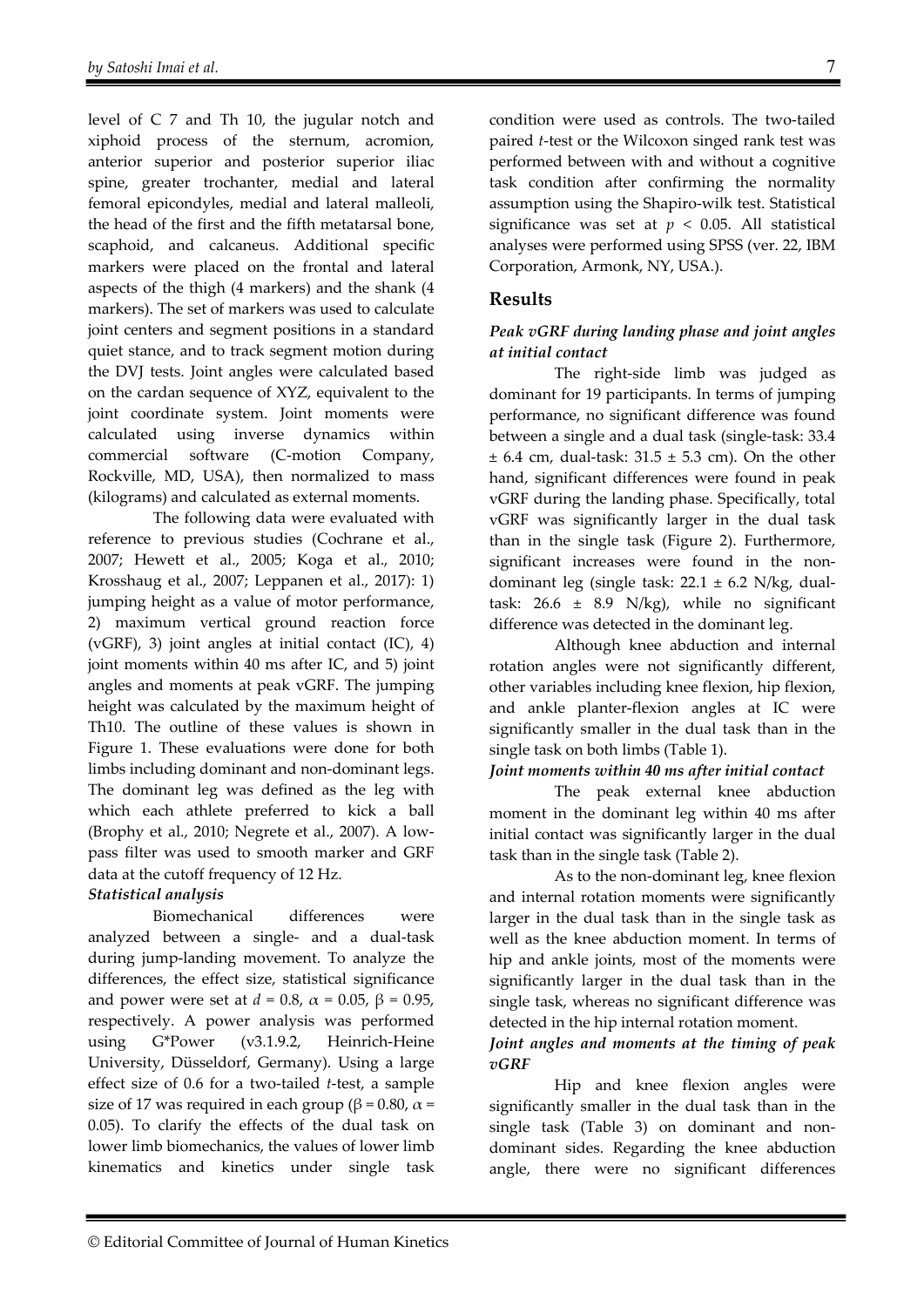level of C 7 and Th 10, the jugular notch and xiphoid process of the sternum, acromion, anterior superior and posterior superior iliac spine, greater trochanter, medial and lateral femoral epicondyles, medial and lateral malleoli, the head of the first and the fifth metatarsal bone, scaphoid, and calcaneus. Additional specific markers were placed on the frontal and lateral aspects of the thigh (4 markers) and the shank (4 markers). The set of markers was used to calculate joint centers and segment positions in a standard quiet stance, and to track segment motion during the DVJ tests. Joint angles were calculated based on the cardan sequence of XYZ, equivalent to the joint coordinate system. Joint moments were calculated using inverse dynamics within commercial software (C-motion Company, Rockville, MD, USA), then normalized to mass (kilograms) and calculated as external moments.

The following data were evaluated with reference to previous studies (Cochrane et al., 2007; Hewett et al., 2005; Koga et al., 2010; Krosshaug et al., 2007; Leppanen et al., 2017): 1) jumping height as a value of motor performance, 2) maximum vertical ground reaction force (vGRF), 3) joint angles at initial contact (IC), 4) joint moments within 40 ms after IC, and 5) joint angles and moments at peak vGRF. The jumping height was calculated by the maximum height of Th10. The outline of these values is shown in Figure 1. These evaluations were done for both limbs including dominant and non-dominant legs. The dominant leg was defined as the leg with which each athlete preferred to kick a ball (Brophy et al., 2010; Negrete et al., 2007). A lowpass filter was used to smooth marker and GRF data at the cutoff frequency of 12 Hz.

## *Statistical analysis*

Biomechanical differences were analyzed between a single- and a dual-task during jump-landing movement. To analyze the differences, the effect size, statistical significance and power were set at *d* = 0.8,  $\alpha$  = 0.05, β = 0.95, respectively. A power analysis was performed using G\*Power (v3.1.9.2, Heinrich-Heine University, Düsseldorf, Germany). Using a large effect size of 0.6 for a two-tailed *t*-test, a sample size of 17 was required in each group ( $\beta$  = 0.80,  $\alpha$  = 0.05). To clarify the effects of the dual task on lower limb biomechanics, the values of lower limb kinematics and kinetics under single task

condition were used as controls. The two-tailed paired *t*-test or the Wilcoxon singed rank test was performed between with and without a cognitive task condition after confirming the normality assumption using the Shapiro-wilk test. Statistical significance was set at  $p < 0.05$ . All statistical analyses were performed using SPSS (ver. 22, IBM Corporation, Armonk, NY, USA.).

## **Results**

# *Peak vGRF during landing phase and joint angles at initial contact*

The right-side limb was judged as dominant for 19 participants. In terms of jumping performance, no significant difference was found between a single and a dual task (single-task: 33.4  $\pm$  6.4 cm, dual-task: 31.5  $\pm$  5.3 cm). On the other hand, significant differences were found in peak vGRF during the landing phase. Specifically, total vGRF was significantly larger in the dual task than in the single task (Figure 2). Furthermore, significant increases were found in the nondominant leg (single task:  $22.1 \pm 6.2$  N/kg, dualtask:  $26.6 \pm 8.9$  N/kg), while no significant difference was detected in the dominant leg.

Although knee abduction and internal rotation angles were not significantly different, other variables including knee flexion, hip flexion, and ankle planter-flexion angles at IC were significantly smaller in the dual task than in the single task on both limbs (Table 1).

## *Joint moments within 40 ms after initial contact*

The peak external knee abduction moment in the dominant leg within 40 ms after initial contact was significantly larger in the dual task than in the single task (Table 2).

As to the non-dominant leg, knee flexion and internal rotation moments were significantly larger in the dual task than in the single task as well as the knee abduction moment. In terms of hip and ankle joints, most of the moments were significantly larger in the dual task than in the single task, whereas no significant difference was detected in the hip internal rotation moment.

## *Joint angles and moments at the timing of peak vGRF*

Hip and knee flexion angles were significantly smaller in the dual task than in the single task (Table 3) on dominant and nondominant sides. Regarding the knee abduction angle, there were no significant differences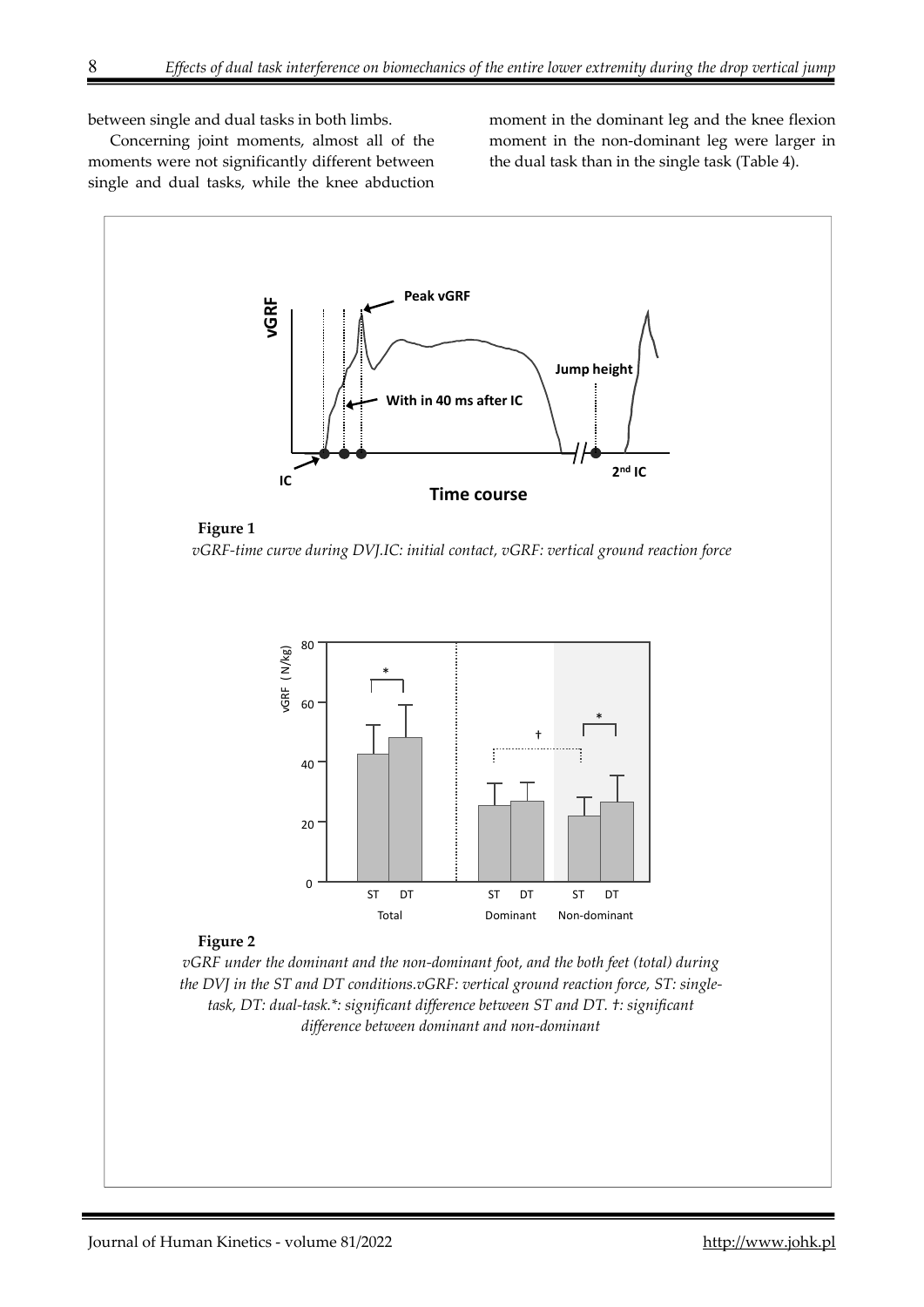between single and dual tasks in both limbs.

Concerning joint moments, almost all of the moments were not significantly different between single and dual tasks, while the knee abduction moment in the dominant leg and the knee flexion moment in the non-dominant leg were larger in the dual task than in the single task (Table 4).

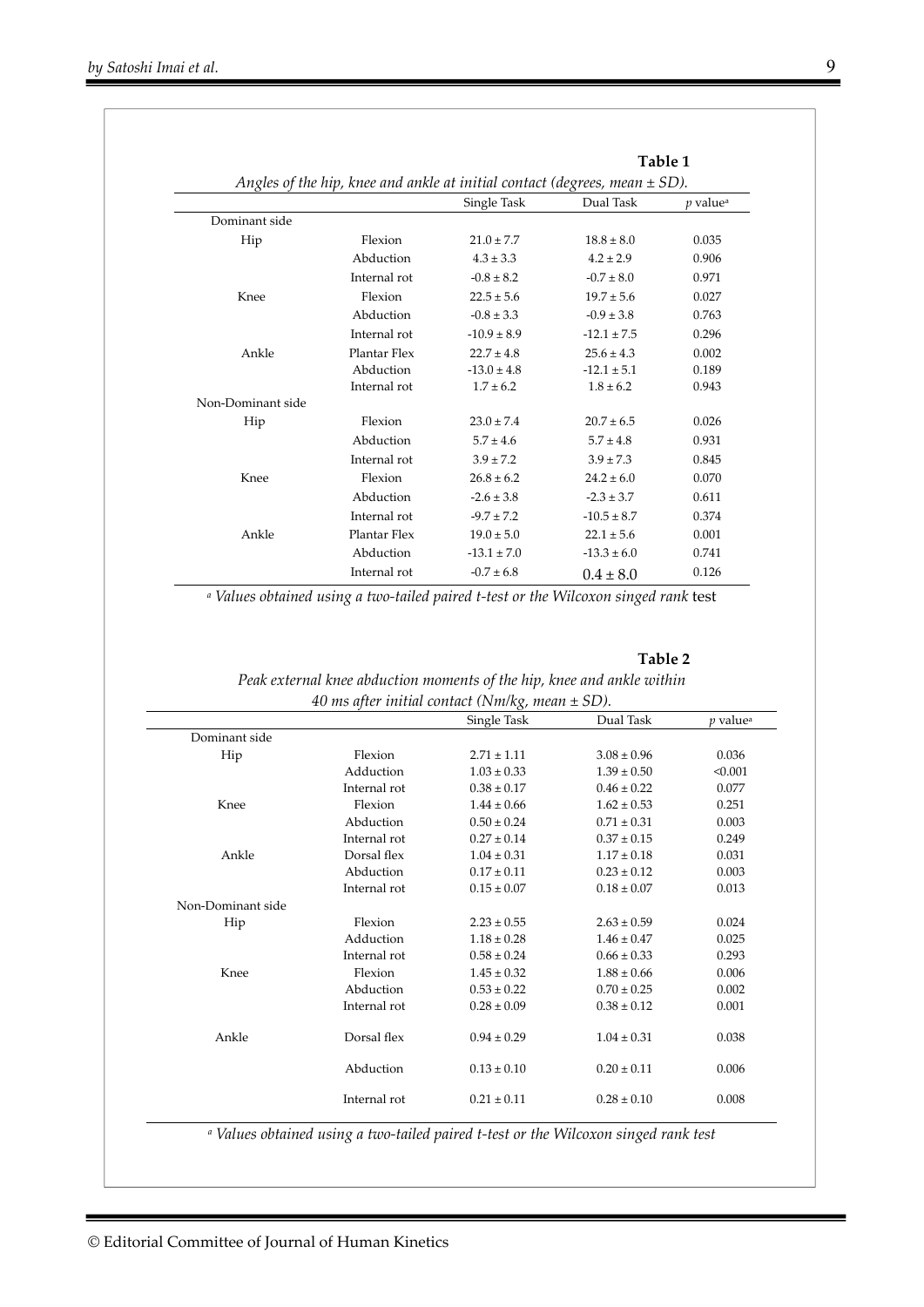|                   |              |                                                                                | Table 1         |                        |  |
|-------------------|--------------|--------------------------------------------------------------------------------|-----------------|------------------------|--|
|                   |              | Angles of the hip, knee and ankle at initial contact (degrees, mean $\pm$ SD). |                 |                        |  |
|                   |              | Single Task                                                                    | Dual Task       | $p$ value <sup>a</sup> |  |
| Dominant side     |              |                                                                                |                 |                        |  |
| Hip               | Flexion      | $21.0 \pm 7.7$                                                                 | $18.8 \pm 8.0$  | 0.035                  |  |
|                   | Abduction    | $4.3 \pm 3.3$                                                                  | $4.2 \pm 2.9$   | 0.906                  |  |
|                   | Internal rot | $-0.8 \pm 8.2$                                                                 | $-0.7 \pm 8.0$  | 0.971                  |  |
| Knee              | Flexion      | $22.5 \pm 5.6$                                                                 | $19.7 \pm 5.6$  | 0.027                  |  |
|                   | Abduction    | $-0.8 \pm 3.3$                                                                 | $-0.9 \pm 3.8$  | 0.763                  |  |
|                   | Internal rot | $-10.9 \pm 8.9$                                                                | $-12.1 \pm 7.5$ | 0.296                  |  |
| Ankle             | Plantar Flex | $22.7 \pm 4.8$                                                                 | $25.6 \pm 4.3$  | 0.002                  |  |
|                   | Abduction    | $-13.0 \pm 4.8$                                                                | $-12.1 \pm 5.1$ | 0.189                  |  |
|                   | Internal rot | $1.7 \pm 6.2$                                                                  | $1.8 \pm 6.2$   | 0.943                  |  |
| Non-Dominant side |              |                                                                                |                 |                        |  |
| Hip               | Flexion      | $23.0 \pm 7.4$                                                                 | $20.7 \pm 6.5$  | 0.026                  |  |
|                   | Abduction    | $5.7 \pm 4.6$                                                                  | $5.7 \pm 4.8$   | 0.931                  |  |
|                   | Internal rot | $3.9 \pm 7.2$                                                                  | $3.9 \pm 7.3$   | 0.845                  |  |
| Knee              | Flexion      | $26.8 \pm 6.2$                                                                 | $24.2 \pm 6.0$  | 0.070                  |  |
|                   | Abduction    | $-2.6 \pm 3.8$                                                                 | $-2.3 \pm 3.7$  | 0.611                  |  |
|                   | Internal rot | $-9.7 \pm 7.2$                                                                 | $-10.5 \pm 8.7$ | 0.374                  |  |
| Ankle             | Plantar Flex | $19.0 \pm 5.0$                                                                 | $22.1 \pm 5.6$  | 0.001                  |  |
|                   | Abduction    | $-13.1 \pm 7.0$                                                                | $-13.3 \pm 6.0$ | 0.741                  |  |
|                   | Internal rot | $-0.7 \pm 6.8$                                                                 | $0.4 \pm 8.0$   | 0.126                  |  |

*a Values obtained using a two-tailed paired t-test or the Wilcoxon singed rank* test

#### **Table 2**

#### *Peak external knee abduction moments of the hip, knee and ankle within 40 ms after initial contact (Nm/kg, mean ± SD).*

|                   |              | Single Task     | Dual Task       | <i>v</i> value <sup>a</sup> |
|-------------------|--------------|-----------------|-----------------|-----------------------------|
| Dominant side     |              |                 |                 |                             |
| Hip               | Flexion      | $2.71 \pm 1.11$ | $3.08 \pm 0.96$ | 0.036                       |
|                   | Adduction    | $1.03 \pm 0.33$ | $1.39 \pm 0.50$ | < 0.001                     |
|                   | Internal rot | $0.38 \pm 0.17$ | $0.46 \pm 0.22$ | 0.077                       |
| Knee              | Flexion      | $1.44 \pm 0.66$ | $1.62 \pm 0.53$ | 0.251                       |
|                   | Abduction    | $0.50 \pm 0.24$ | $0.71 \pm 0.31$ | 0.003                       |
|                   | Internal rot | $0.27 \pm 0.14$ | $0.37 \pm 0.15$ | 0.249                       |
| Ankle             | Dorsal flex  | $1.04 \pm 0.31$ | $1.17 \pm 0.18$ | 0.031                       |
|                   | Abduction    | $0.17 \pm 0.11$ | $0.23 \pm 0.12$ | 0.003                       |
|                   | Internal rot | $0.15 \pm 0.07$ | $0.18 \pm 0.07$ | 0.013                       |
| Non-Dominant side |              |                 |                 |                             |
| Hip               | Flexion      | $2.23 \pm 0.55$ | $2.63 \pm 0.59$ | 0.024                       |
|                   | Adduction    | $1.18 \pm 0.28$ | $1.46 \pm 0.47$ | 0.025                       |
|                   | Internal rot | $0.58 \pm 0.24$ | $0.66 \pm 0.33$ | 0.293                       |
| Knee              | Flexion      | $1.45 \pm 0.32$ | $1.88 \pm 0.66$ | 0.006                       |
|                   | Abduction    | $0.53 \pm 0.22$ | $0.70 \pm 0.25$ | 0.002                       |
|                   | Internal rot | $0.28 \pm 0.09$ | $0.38 \pm 0.12$ | 0.001                       |
| Ankle             | Dorsal flex  | $0.94 \pm 0.29$ | $1.04 \pm 0.31$ | 0.038                       |
|                   | Abduction    | $0.13 \pm 0.10$ | $0.20 \pm 0.11$ | 0.006                       |
|                   | Internal rot | $0.21 \pm 0.11$ | $0.28 \pm 0.10$ | 0.008                       |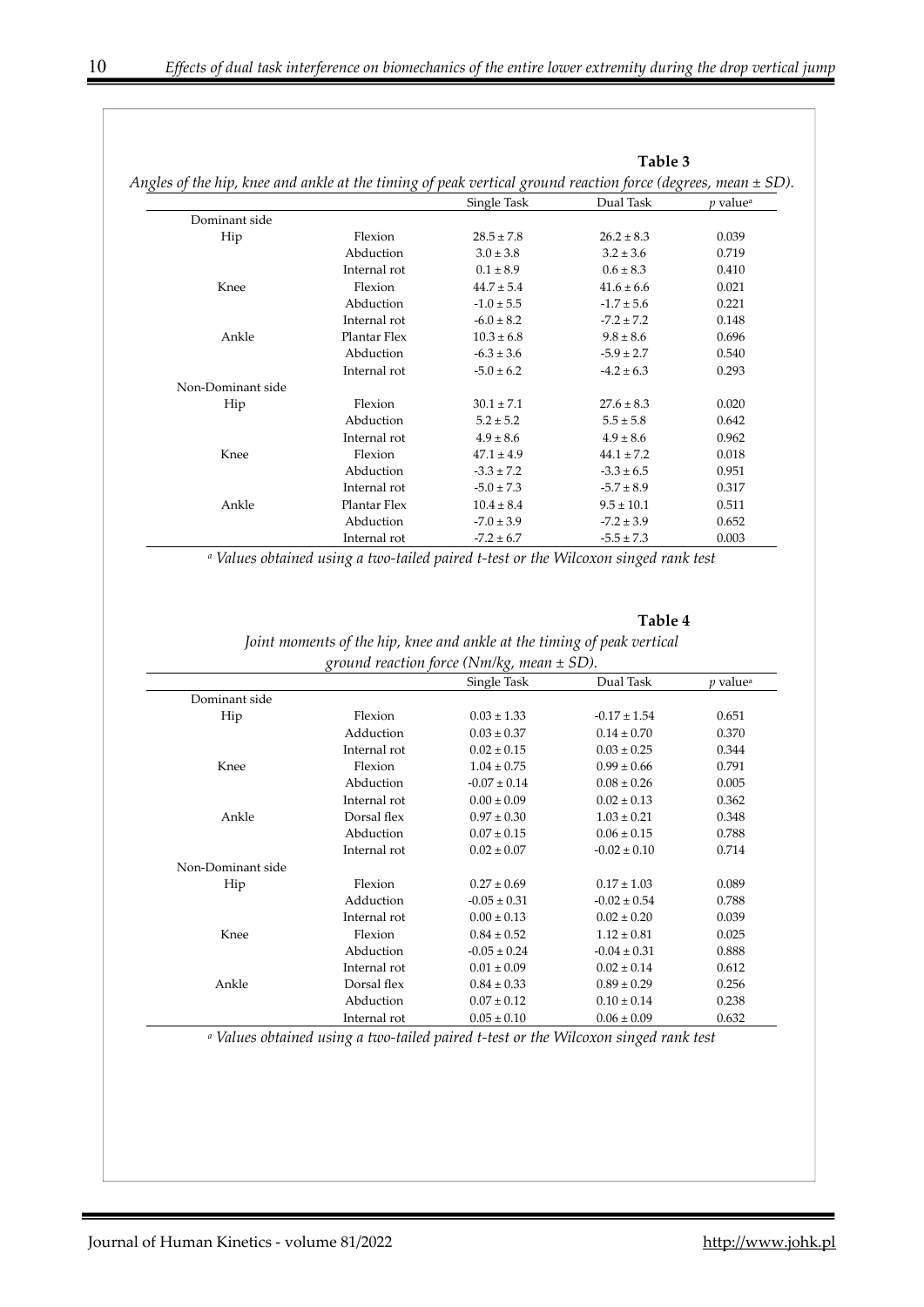|                                                                                                                  |              |                | Table 3        |                             |
|------------------------------------------------------------------------------------------------------------------|--------------|----------------|----------------|-----------------------------|
| Angles of the hip, knee and ankle at the timing of peak vertical ground reaction force (degrees, mean $\pm$ SD). |              |                |                |                             |
|                                                                                                                  |              | Single Task    | Dual Task      | <i>p</i> value <sup>a</sup> |
| Dominant side                                                                                                    |              |                |                |                             |
| Hip                                                                                                              | Flexion      | $28.5 \pm 7.8$ | $26.2 \pm 8.3$ | 0.039                       |
|                                                                                                                  | Abduction    | $3.0 \pm 3.8$  | $3.2 \pm 3.6$  | 0.719                       |
|                                                                                                                  | Internal rot | $0.1 \pm 8.9$  | $0.6 \pm 8.3$  | 0.410                       |
| Knee                                                                                                             | Flexion      | $44.7 \pm 5.4$ | $41.6 \pm 6.6$ | 0.021                       |
|                                                                                                                  | Abduction    | $-1.0 \pm 5.5$ | $-1.7 \pm 5.6$ | 0.221                       |
|                                                                                                                  | Internal rot | $-6.0 \pm 8.2$ | $-7.2 \pm 7.2$ | 0.148                       |
| Ankle                                                                                                            | Plantar Flex | $10.3 \pm 6.8$ | $9.8 \pm 8.6$  | 0.696                       |
|                                                                                                                  | Abduction    | $-6.3 \pm 3.6$ | $-5.9 \pm 2.7$ | 0.540                       |
|                                                                                                                  | Internal rot | $-5.0 \pm 6.2$ | $-4.2 \pm 6.3$ | 0.293                       |
| Non-Dominant side                                                                                                |              |                |                |                             |
| Hip                                                                                                              | Flexion      | $30.1 \pm 7.1$ | $27.6 \pm 8.3$ | 0.020                       |
|                                                                                                                  | Abduction    | $5.2 \pm 5.2$  | $5.5 \pm 5.8$  | 0.642                       |
|                                                                                                                  | Internal rot | $4.9 \pm 8.6$  | $4.9 \pm 8.6$  | 0.962                       |
| Knee                                                                                                             | Flexion      | $47.1 \pm 4.9$ | $44.1 \pm 7.2$ | 0.018                       |
|                                                                                                                  | Abduction    | $-3.3 \pm 7.2$ | $-3.3 \pm 6.5$ | 0.951                       |
|                                                                                                                  | Internal rot | $-5.0 \pm 7.3$ | $-5.7 \pm 8.9$ | 0.317                       |
| Ankle                                                                                                            | Plantar Flex | $10.4 \pm 8.4$ | $9.5 \pm 10.1$ | 0.511                       |
|                                                                                                                  | Abduction    | $-7.0 \pm 3.9$ | $-7.2 \pm 3.9$ | 0.652                       |
|                                                                                                                  | Internal rot | $-7.2 \pm 6.7$ | $-5.5 \pm 7.3$ | 0.003                       |

*a Values obtained using a two-tailed paired t-test or the Wilcoxon singed rank test*

**Table 4** 

*Joint moments of the hip, knee and ankle at the timing of peak vertical ground reaction force (Nm/kg, mean ± SD).* 

|                   |              | Single Task      | Dual Task        | <i>p</i> value <sup>a</sup> |
|-------------------|--------------|------------------|------------------|-----------------------------|
| Dominant side     |              |                  |                  |                             |
| Hip               | Flexion      | $0.03 \pm 1.33$  | $-0.17 \pm 1.54$ | 0.651                       |
|                   | Adduction    | $0.03 \pm 0.37$  | $0.14 \pm 0.70$  | 0.370                       |
|                   | Internal rot | $0.02 \pm 0.15$  | $0.03 \pm 0.25$  | 0.344                       |
| Knee              | Flexion      | $1.04 \pm 0.75$  | $0.99 \pm 0.66$  | 0.791                       |
|                   | Abduction    | $-0.07 \pm 0.14$ | $0.08 \pm 0.26$  | 0.005                       |
|                   | Internal rot | $0.00 \pm 0.09$  | $0.02 \pm 0.13$  | 0.362                       |
| Ankle             | Dorsal flex  | $0.97 \pm 0.30$  | $1.03 \pm 0.21$  | 0.348                       |
|                   | Abduction    | $0.07 \pm 0.15$  | $0.06 \pm 0.15$  | 0.788                       |
|                   | Internal rot | $0.02 \pm 0.07$  | $-0.02 \pm 0.10$ | 0.714                       |
| Non-Dominant side |              |                  |                  |                             |
| Hip               | Flexion      | $0.27 \pm 0.69$  | $0.17 \pm 1.03$  | 0.089                       |
|                   | Adduction    | $-0.05 \pm 0.31$ | $-0.02 \pm 0.54$ | 0.788                       |
|                   | Internal rot | $0.00 \pm 0.13$  | $0.02 \pm 0.20$  | 0.039                       |
| Knee              | Flexion      | $0.84 \pm 0.52$  | $1.12 \pm 0.81$  | 0.025                       |
|                   | Abduction    | $-0.05 \pm 0.24$ | $-0.04 \pm 0.31$ | 0.888                       |
|                   | Internal rot | $0.01 \pm 0.09$  | $0.02 \pm 0.14$  | 0.612                       |
| Ankle             | Dorsal flex  | $0.84 \pm 0.33$  | $0.89 \pm 0.29$  | 0.256                       |
|                   | Abduction    | $0.07 \pm 0.12$  | $0.10 \pm 0.14$  | 0.238                       |
|                   | Internal rot | $0.05 \pm 0.10$  | $0.06 \pm 0.09$  | 0.632                       |

*a Values obtained using a two-tailed paired t-test or the Wilcoxon singed rank test*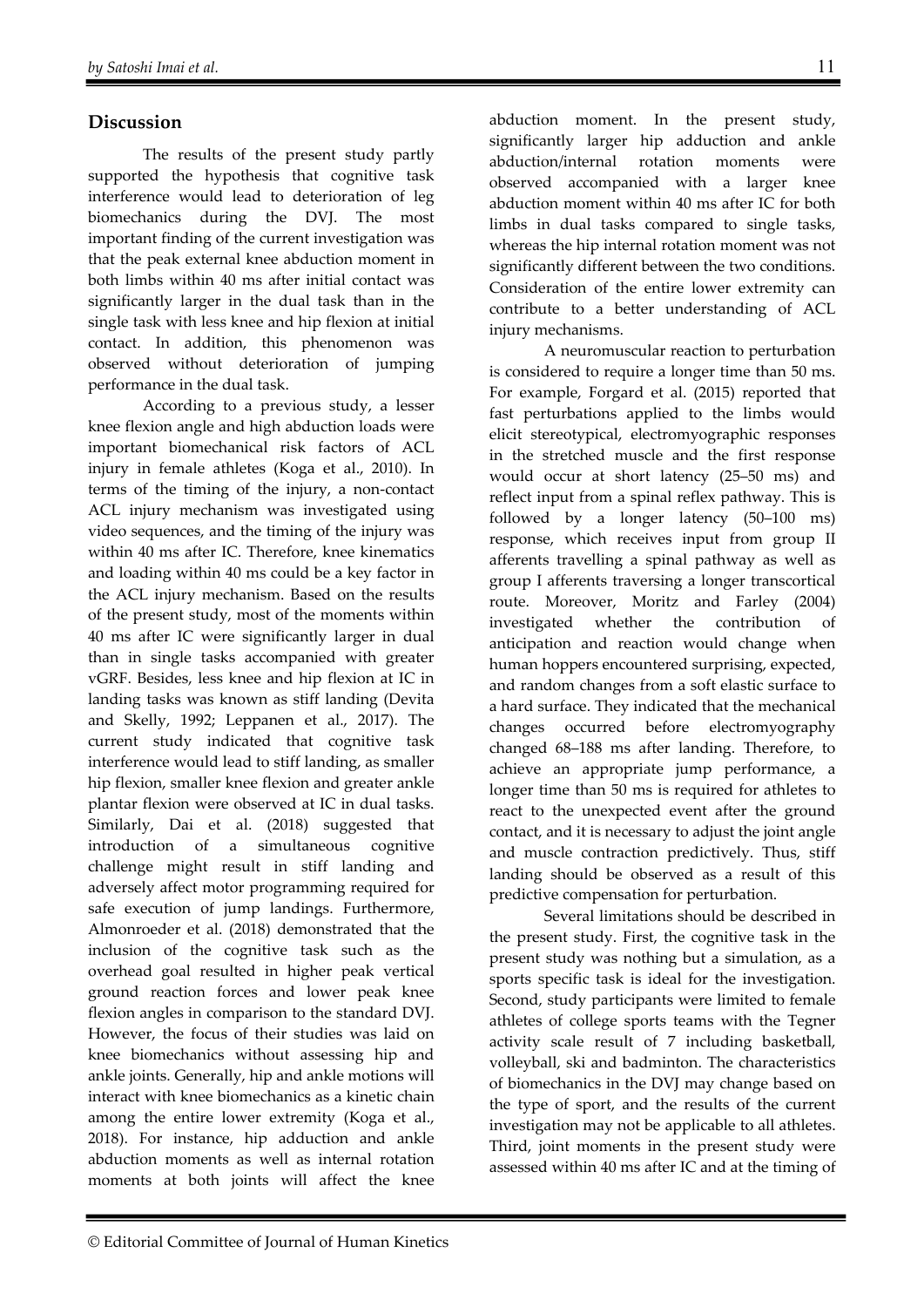# **Discussion**

The results of the present study partly supported the hypothesis that cognitive task interference would lead to deterioration of leg biomechanics during the DVJ. The most important finding of the current investigation was that the peak external knee abduction moment in both limbs within 40 ms after initial contact was significantly larger in the dual task than in the single task with less knee and hip flexion at initial contact. In addition, this phenomenon was observed without deterioration of jumping performance in the dual task.

According to a previous study, a lesser knee flexion angle and high abduction loads were important biomechanical risk factors of ACL injury in female athletes (Koga et al., 2010). In terms of the timing of the injury, a non-contact ACL injury mechanism was investigated using video sequences, and the timing of the injury was within 40 ms after IC. Therefore, knee kinematics and loading within 40 ms could be a key factor in the ACL injury mechanism. Based on the results of the present study, most of the moments within 40 ms after IC were significantly larger in dual than in single tasks accompanied with greater vGRF. Besides, less knee and hip flexion at IC in landing tasks was known as stiff landing (Devita and Skelly, 1992; Leppanen et al., 2017). The current study indicated that cognitive task interference would lead to stiff landing, as smaller hip flexion, smaller knee flexion and greater ankle plantar flexion were observed at IC in dual tasks. Similarly, Dai et al. (2018) suggested that introduction of a simultaneous cognitive challenge might result in stiff landing and adversely affect motor programming required for safe execution of jump landings. Furthermore, Almonroeder et al. (2018) demonstrated that the inclusion of the cognitive task such as the overhead goal resulted in higher peak vertical ground reaction forces and lower peak knee flexion angles in comparison to the standard DVJ. However, the focus of their studies was laid on knee biomechanics without assessing hip and ankle joints. Generally, hip and ankle motions will interact with knee biomechanics as a kinetic chain among the entire lower extremity (Koga et al., 2018). For instance, hip adduction and ankle abduction moments as well as internal rotation moments at both joints will affect the knee

abduction moment. In the present study, significantly larger hip adduction and ankle abduction/internal rotation moments were observed accompanied with a larger knee abduction moment within 40 ms after IC for both limbs in dual tasks compared to single tasks, whereas the hip internal rotation moment was not significantly different between the two conditions. Consideration of the entire lower extremity can contribute to a better understanding of ACL injury mechanisms.

A neuromuscular reaction to perturbation is considered to require a longer time than 50 ms. For example, Forgard et al. (2015) reported that fast perturbations applied to the limbs would elicit stereotypical, electromyographic responses in the stretched muscle and the first response would occur at short latency (25–50 ms) and reflect input from a spinal reflex pathway. This is followed by a longer latency (50–100 ms) response, which receives input from group II afferents travelling a spinal pathway as well as group I afferents traversing a longer transcortical route. Moreover, Moritz and Farley (2004) investigated whether the contribution of anticipation and reaction would change when human hoppers encountered surprising, expected, and random changes from a soft elastic surface to a hard surface. They indicated that the mechanical changes occurred before electromyography changed 68–188 ms after landing. Therefore, to achieve an appropriate jump performance, a longer time than 50 ms is required for athletes to react to the unexpected event after the ground contact, and it is necessary to adjust the joint angle and muscle contraction predictively. Thus, stiff landing should be observed as a result of this predictive compensation for perturbation.

Several limitations should be described in the present study. First, the cognitive task in the present study was nothing but a simulation, as a sports specific task is ideal for the investigation. Second, study participants were limited to female athletes of college sports teams with the Tegner activity scale result of 7 including basketball, volleyball, ski and badminton. The characteristics of biomechanics in the DVJ may change based on the type of sport, and the results of the current investigation may not be applicable to all athletes. Third, joint moments in the present study were assessed within 40 ms after IC and at the timing of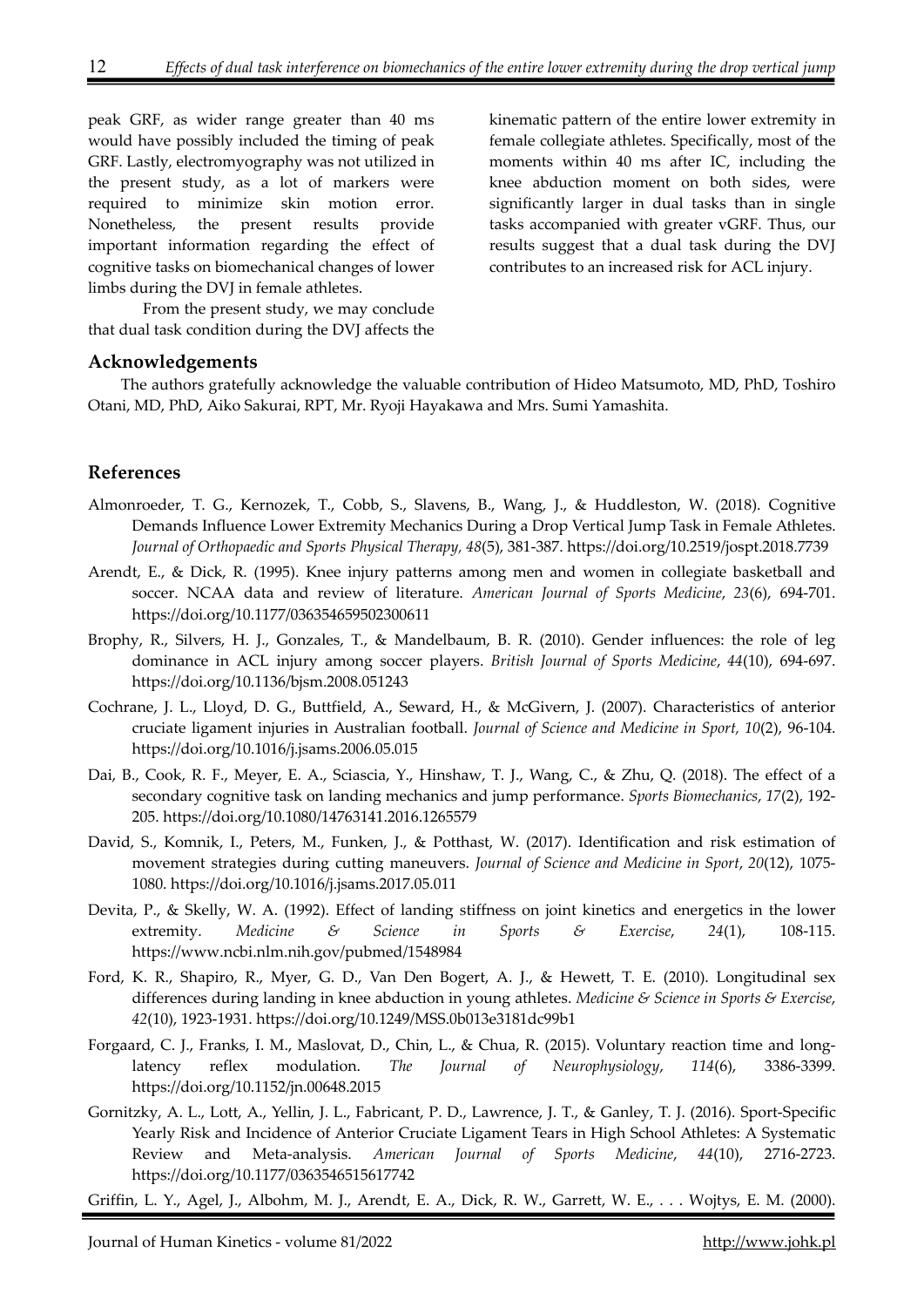peak GRF, as wider range greater than 40 ms would have possibly included the timing of peak GRF. Lastly, electromyography was not utilized in the present study, as a lot of markers were required to minimize skin motion error. Nonetheless, the present results provide important information regarding the effect of cognitive tasks on biomechanical changes of lower limbs during the DVJ in female athletes.

kinematic pattern of the entire lower extremity in female collegiate athletes. Specifically, most of the moments within 40 ms after IC, including the knee abduction moment on both sides, were significantly larger in dual tasks than in single tasks accompanied with greater vGRF. Thus, our results suggest that a dual task during the DVJ contributes to an increased risk for ACL injury.

From the present study, we may conclude that dual task condition during the DVJ affects the

#### **Acknowledgements**

The authors gratefully acknowledge the valuable contribution of Hideo Matsumoto, MD, PhD, Toshiro Otani, MD, PhD, Aiko Sakurai, RPT, Mr. Ryoji Hayakawa and Mrs. Sumi Yamashita.

## **References**

- Almonroeder, T. G., Kernozek, T., Cobb, S., Slavens, B., Wang, J., & Huddleston, W. (2018). Cognitive Demands Influence Lower Extremity Mechanics During a Drop Vertical Jump Task in Female Athletes. *Journal of Orthopaedic and Sports Physical Therapy, 48*(5), 381-387. https://doi.org/10.2519/jospt.2018.7739
- Arendt, E., & Dick, R. (1995). Knee injury patterns among men and women in collegiate basketball and soccer. NCAA data and review of literature. *American Journal of Sports Medicine*, *23*(6), 694-701. https://doi.org/10.1177/036354659502300611
- Brophy, R., Silvers, H. J., Gonzales, T., & Mandelbaum, B. R. (2010). Gender influences: the role of leg dominance in ACL injury among soccer players. *British Journal of Sports Medicine*, *44*(10), 694-697. https://doi.org/10.1136/bjsm.2008.051243
- Cochrane, J. L., Lloyd, D. G., Buttfield, A., Seward, H., & McGivern, J. (2007). Characteristics of anterior cruciate ligament injuries in Australian football. *Journal of Science and Medicine in Sport, 10*(2), 96-104. https://doi.org/10.1016/j.jsams.2006.05.015
- Dai, B., Cook, R. F., Meyer, E. A., Sciascia, Y., Hinshaw, T. J., Wang, C., & Zhu, Q. (2018). The effect of a secondary cognitive task on landing mechanics and jump performance. *Sports Biomechanics*, *17*(2), 192- 205. https://doi.org/10.1080/14763141.2016.1265579
- David, S., Komnik, I., Peters, M., Funken, J., & Potthast, W. (2017). Identification and risk estimation of movement strategies during cutting maneuvers. *Journal of Science and Medicine in Sport*, *20*(12), 1075- 1080. https://doi.org/10.1016/j.jsams.2017.05.011
- Devita, P., & Skelly, W. A. (1992). Effect of landing stiffness on joint kinetics and energetics in the lower extremity. *Medicine & Science in Sports & Exercise*, *24*(1), 108-115. https://www.ncbi.nlm.nih.gov/pubmed/1548984
- Ford, K. R., Shapiro, R., Myer, G. D., Van Den Bogert, A. J., & Hewett, T. E. (2010). Longitudinal sex differences during landing in knee abduction in young athletes. *Medicine & Science in Sports & Exercise*, *42*(10), 1923-1931. https://doi.org/10.1249/MSS.0b013e3181dc99b1
- Forgaard, C. J., Franks, I. M., Maslovat, D., Chin, L., & Chua, R. (2015). Voluntary reaction time and longlatency reflex modulation. *The Journal of Neurophysiology*, *114*(6), 3386-3399. https://doi.org/10.1152/jn.00648.2015
- Gornitzky, A. L., Lott, A., Yellin, J. L., Fabricant, P. D., Lawrence, J. T., & Ganley, T. J. (2016). Sport-Specific Yearly Risk and Incidence of Anterior Cruciate Ligament Tears in High School Athletes: A Systematic Review and Meta-analysis. *American Journal of Sports Medicine*, *44*(10), 2716-2723. https://doi.org/10.1177/0363546515617742

Griffin, L. Y., Agel, J., Albohm, M. J., Arendt, E. A., Dick, R. W., Garrett, W. E., . . . Wojtys, E. M. (2000).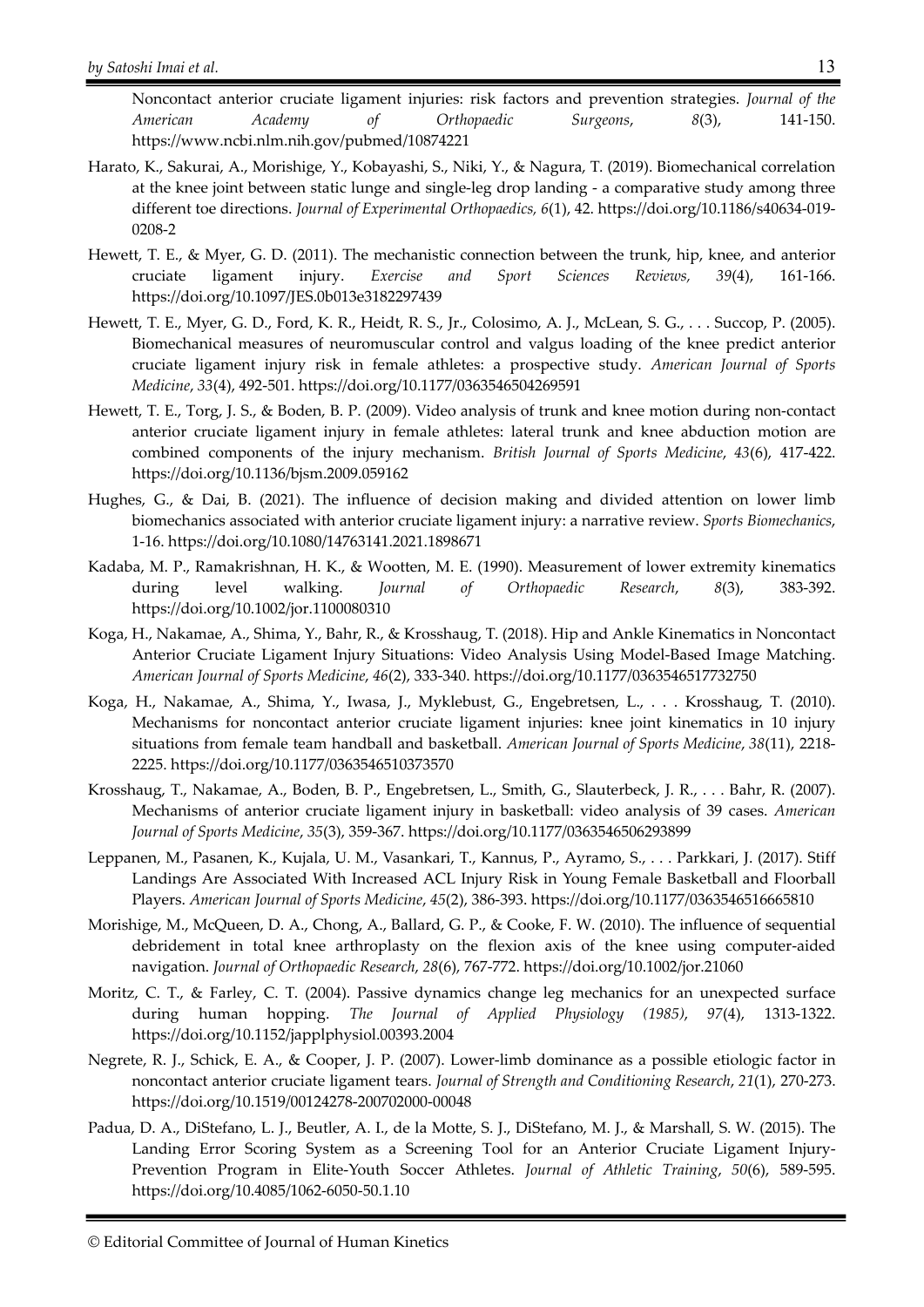Noncontact anterior cruciate ligament injuries: risk factors and prevention strategies. *Journal of the American Academy of Orthopaedic Surgeons*, *8*(3), 141-150. https://www.ncbi.nlm.nih.gov/pubmed/10874221

- Harato, K., Sakurai, A., Morishige, Y., Kobayashi, S., Niki, Y., & Nagura, T. (2019). Biomechanical correlation at the knee joint between static lunge and single-leg drop landing - a comparative study among three different toe directions. *Journal of Experimental Orthopaedics, 6*(1), 42. https://doi.org/10.1186/s40634-019- 0208-2
- Hewett, T. E., & Myer, G. D. (2011). The mechanistic connection between the trunk, hip, knee, and anterior cruciate ligament injury. *Exercise and Sport Sciences Reviews, 39*(4), 161-166. https://doi.org/10.1097/JES.0b013e3182297439
- Hewett, T. E., Myer, G. D., Ford, K. R., Heidt, R. S., Jr., Colosimo, A. J., McLean, S. G., . . . Succop, P. (2005). Biomechanical measures of neuromuscular control and valgus loading of the knee predict anterior cruciate ligament injury risk in female athletes: a prospective study. *American Journal of Sports Medicine*, *33*(4), 492-501. https://doi.org/10.1177/0363546504269591
- Hewett, T. E., Torg, J. S., & Boden, B. P. (2009). Video analysis of trunk and knee motion during non-contact anterior cruciate ligament injury in female athletes: lateral trunk and knee abduction motion are combined components of the injury mechanism. *British Journal of Sports Medicine*, *43*(6), 417-422. https://doi.org/10.1136/bjsm.2009.059162
- Hughes, G., & Dai, B. (2021). The influence of decision making and divided attention on lower limb biomechanics associated with anterior cruciate ligament injury: a narrative review. *Sports Biomechanics*, 1-16. https://doi.org/10.1080/14763141.2021.1898671
- Kadaba, M. P., Ramakrishnan, H. K., & Wootten, M. E. (1990). Measurement of lower extremity kinematics during level walking. *Journal of Orthopaedic Research*, *8*(3), 383-392. https://doi.org/10.1002/jor.1100080310
- Koga, H., Nakamae, A., Shima, Y., Bahr, R., & Krosshaug, T. (2018). Hip and Ankle Kinematics in Noncontact Anterior Cruciate Ligament Injury Situations: Video Analysis Using Model-Based Image Matching. *American Journal of Sports Medicine*, *46*(2), 333-340. https://doi.org/10.1177/0363546517732750
- Koga, H., Nakamae, A., Shima, Y., Iwasa, J., Myklebust, G., Engebretsen, L., . . . Krosshaug, T. (2010). Mechanisms for noncontact anterior cruciate ligament injuries: knee joint kinematics in 10 injury situations from female team handball and basketball. *American Journal of Sports Medicine*, *38*(11), 2218- 2225. https://doi.org/10.1177/0363546510373570
- Krosshaug, T., Nakamae, A., Boden, B. P., Engebretsen, L., Smith, G., Slauterbeck, J. R., . . . Bahr, R. (2007). Mechanisms of anterior cruciate ligament injury in basketball: video analysis of 39 cases. *American Journal of Sports Medicine*, *35*(3), 359-367. https://doi.org/10.1177/0363546506293899
- Leppanen, M., Pasanen, K., Kujala, U. M., Vasankari, T., Kannus, P., Ayramo, S., . . . Parkkari, J. (2017). Stiff Landings Are Associated With Increased ACL Injury Risk in Young Female Basketball and Floorball Players. *American Journal of Sports Medicine*, *45*(2), 386-393. https://doi.org/10.1177/0363546516665810
- Morishige, M., McQueen, D. A., Chong, A., Ballard, G. P., & Cooke, F. W. (2010). The influence of sequential debridement in total knee arthroplasty on the flexion axis of the knee using computer-aided navigation. *Journal of Orthopaedic Research*, *28*(6), 767-772. https://doi.org/10.1002/jor.21060
- Moritz, C. T., & Farley, C. T. (2004). Passive dynamics change leg mechanics for an unexpected surface during human hopping. *The Journal of Applied Physiology (1985)*, *97*(4), 1313-1322. https://doi.org/10.1152/japplphysiol.00393.2004
- Negrete, R. J., Schick, E. A., & Cooper, J. P. (2007). Lower-limb dominance as a possible etiologic factor in noncontact anterior cruciate ligament tears. *Journal of Strength and Conditioning Research*, *21*(1), 270-273. https://doi.org/10.1519/00124278-200702000-00048
- Padua, D. A., DiStefano, L. J., Beutler, A. I., de la Motte, S. J., DiStefano, M. J., & Marshall, S. W. (2015). The Landing Error Scoring System as a Screening Tool for an Anterior Cruciate Ligament Injury-Prevention Program in Elite-Youth Soccer Athletes. *Journal of Athletic Training*, *50*(6), 589-595. https://doi.org/10.4085/1062-6050-50.1.10

<sup>©</sup> Editorial Committee of Journal of Human Kinetics